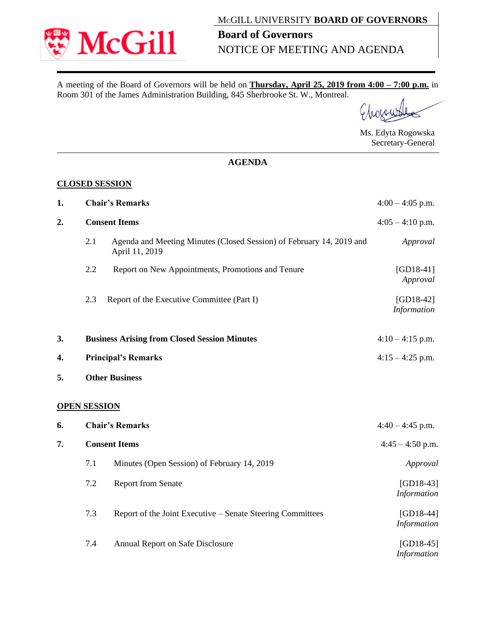

A meeting of the Board of Governors will be held on **Thursday, April 25, 2019 from 4:00 – 7:00 p.m.** in Room 301 of the James Administration Building, 845 Sherbrooke St. W., Montreal.

Ms. Edyta Rogowska Secretary-General

## **AGENDA**

## **CLOSED SESSION**

| 1. |                        | <b>Chair's Remarks</b>                                                                 | $4:00 - 4:05$ p.m.                |
|----|------------------------|----------------------------------------------------------------------------------------|-----------------------------------|
| 2. | <b>Consent Items</b>   |                                                                                        | $4:05 - 4:10$ p.m.                |
|    | 2.1                    | Agenda and Meeting Minutes (Closed Session) of February 14, 2019 and<br>April 11, 2019 | Approval                          |
|    | 2.2                    | Report on New Appointments, Promotions and Tenure                                      | $[GD18-41]$<br>Approval           |
|    | 2.3                    | Report of the Executive Committee (Part I)                                             | $[GD18-42]$<br>Information        |
| 3. |                        | <b>Business Arising from Closed Session Minutes</b>                                    | $4:10 - 4:15$ p.m.                |
| 4. |                        | <b>Principal's Remarks</b>                                                             | $4:15 - 4:25$ p.m.                |
| 5. |                        | <b>Other Business</b>                                                                  |                                   |
|    | <b>OPEN SESSION</b>    |                                                                                        |                                   |
| 6. | <b>Chair's Remarks</b> |                                                                                        | $4:40 - 4:45$ p.m.                |
| 7. | <b>Consent Items</b>   |                                                                                        | $4:45 - 4:50$ p.m.                |
|    | 7.1                    | Minutes (Open Session) of February 14, 2019                                            | Approval                          |
|    | 7.2                    | <b>Report from Senate</b>                                                              | $[GD18-43]$<br><b>Information</b> |
|    | 7.3                    | Report of the Joint Executive – Senate Steering Committees                             | $[GD18-44]$<br>Information        |
|    | 7.4                    | Annual Report on Safe Disclosure                                                       | $[GD18-45]$<br><b>Information</b> |